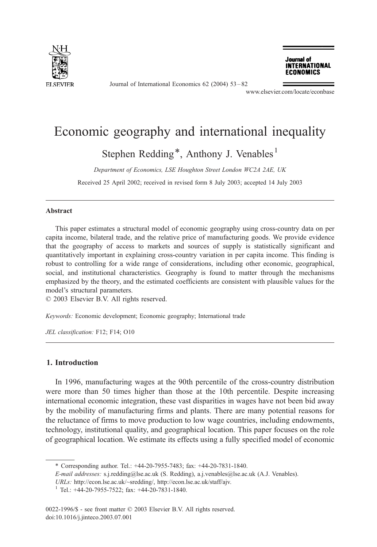

Journal of International Economics 62 (2004) 53 – 82

Journal of **INTERNATIONAL ECONOMICS** 

www.elsevier.com/locate/econbase

## Economic geography and international inequality

Stephen Redding<sup>\*</sup>, Anthony J. Venables<sup>1</sup>

Department of Economics, LSE Houghton Street London WC2A 2AE, UK

Received 25 April 2002; received in revised form 8 July 2003; accepted 14 July 2003

## Abstract

This paper estimates a structural model of economic geography using cross-country data on per capita income, bilateral trade, and the relative price of manufacturing goods. We provide evidence that the geography of access to markets and sources of supply is statistically significant and quantitatively important in explaining cross-country variation in per capita income. This finding is robust to controlling for a wide range of considerations, including other economic, geographical, social, and institutional characteristics. Geography is found to matter through the mechanisms emphasized by the theory, and the estimated coefficients are consistent with plausible values for the model's structural parameters.

 $\odot$  2003 Elsevier B.V. All rights reserved.

Keywords: Economic development; Economic geography; International trade

JEL classification: F12; F14; O10

## 1. Introduction

In 1996, manufacturing wages at the 90th percentile of the cross-country distribution were more than 50 times higher than those at the 10th percentile. Despite increasing international economic integration, these vast disparities in wages have not been bid away by the mobility of manufacturing firms and plants. There are many potential reasons for the reluctance of firms to move production to low wage countries, including endowments, technology, institutional quality, and geographical location. This paper focuses on the role of geographical location. We estimate its effects using a fully specified model of economic

<sup>\*</sup> Corresponding author. Tel.: +44-20-7955-7483; fax: +44-20-7831-1840.

E-mail addresses: s.j.redding@lse.ac.uk (S. Redding), a.j.venables@lse.ac.uk (A.J. Venables).

URLs: http://econ.lse.ac.uk/~sredding/, http://econ.lse.ac.uk/staff/ajv.

<sup>&</sup>lt;sup>1</sup> Tel.: +44-20-7955-7522; fax: +44-20-7831-1840.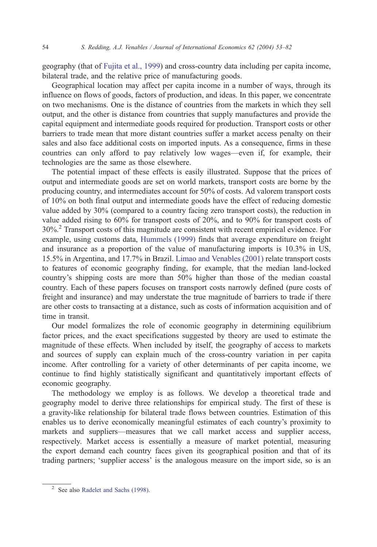geography (that of [Fujita et al., 1999\)](#page--1-0) and cross-country data including per capita income, bilateral trade, and the relative price of manufacturing goods.

Geographical location may affect per capita income in a number of ways, through its influence on flows of goods, factors of production, and ideas. In this paper, we concentrate on two mechanisms. One is the distance of countries from the markets in which they sell output, and the other is distance from countries that supply manufactures and provide the capital equipment and intermediate goods required for production. Transport costs or other barriers to trade mean that more distant countries suffer a market access penalty on their sales and also face additional costs on imported inputs. As a consequence, firms in these countries can only afford to pay relatively low wages—even if, for example, their technologies are the same as those elsewhere.

The potential impact of these effects is easily illustrated. Suppose that the prices of output and intermediate goods are set on world markets, transport costs are borne by the producing country, and intermediates account for 50% of costs. Ad valorem transport costs of 10% on both final output and intermediate goods have the effect of reducing domestic value added by 30% (compared to a country facing zero transport costs), the reduction in value added rising to 60% for transport costs of 20%, and to 90% for transport costs of 30%.<sup>2</sup> Transport costs of this magnitude are consistent with recent empirical evidence. For example, using customs data, [Hummels \(1999\)](#page--1-0) finds that average expenditure on freight and insurance as a proportion of the value of manufacturing imports is 10.3% in US, 15.5% in Argentina, and 17.7% in Brazil. [Limao and Venables \(2001\)](#page--1-0) relate transport costs to features of economic geography finding, for example, that the median land-locked country's shipping costs are more than 50% higher than those of the median coastal country. Each of these papers focuses on transport costs narrowly defined (pure costs of freight and insurance) and may understate the true magnitude of barriers to trade if there are other costs to transacting at a distance, such as costs of information acquisition and of time in transit.

Our model formalizes the role of economic geography in determining equilibrium factor prices, and the exact specifications suggested by theory are used to estimate the magnitude of these effects. When included by itself, the geography of access to markets and sources of supply can explain much of the cross-country variation in per capita income. After controlling for a variety of other determinants of per capita income, we continue to find highly statistically significant and quantitatively important effects of economic geography.

The methodology we employ is as follows. We develop a theoretical trade and geography model to derive three relationships for empirical study. The first of these is a gravity-like relationship for bilateral trade flows between countries. Estimation of this enables us to derive economically meaningful estimates of each country's proximity to markets and suppliers—measures that we call market access and supplier access, respectively. Market access is essentially a measure of market potential, measuring the export demand each country faces given its geographical position and that of its trading partners; 'supplier access' is the analogous measure on the import side, so is an

<sup>&</sup>lt;sup>2</sup> See also [Radelet and Sachs \(1998\).](#page--1-0)